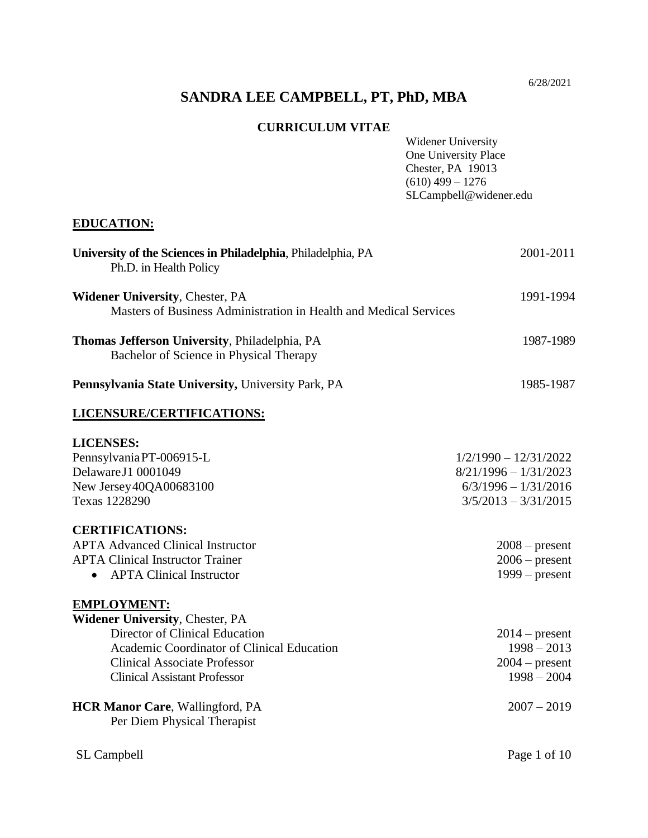6/28/2021

# **SANDRA LEE CAMPBELL, PT, PhD, MBA**

#### **CURRICULUM VITAE**

| CURRICULUM VIIAE                                                                                                                                                                                                           | Widener University<br>One University Place<br>Chester, PA 19013<br>$(610)$ 499 - 1276<br>SLCampbell@widener.edu |
|----------------------------------------------------------------------------------------------------------------------------------------------------------------------------------------------------------------------------|-----------------------------------------------------------------------------------------------------------------|
| <b>EDUCATION:</b>                                                                                                                                                                                                          |                                                                                                                 |
| University of the Sciences in Philadelphia, Philadelphia, PA<br>Ph.D. in Health Policy                                                                                                                                     | 2001-2011                                                                                                       |
| <b>Widener University, Chester, PA</b><br>Masters of Business Administration in Health and Medical Services                                                                                                                | 1991-1994                                                                                                       |
| Thomas Jefferson University, Philadelphia, PA<br>Bachelor of Science in Physical Therapy                                                                                                                                   | 1987-1989                                                                                                       |
| Pennsylvania State University, University Park, PA                                                                                                                                                                         | 1985-1987                                                                                                       |
| LICENSURE/CERTIFICATIONS:                                                                                                                                                                                                  |                                                                                                                 |
| <b>LICENSES:</b><br>Pennsylvania PT-006915-L<br>Delaware J1 0001049<br>New Jersey40QA00683100<br>Texas 1228290                                                                                                             | $1/2/1990 - 12/31/2022$<br>$8/21/1996 - 1/31/2023$<br>$6/3/1996 - 1/31/2016$<br>$3/5/2013 - 3/31/2015$          |
| <b>CERTIFICATIONS:</b><br><b>APTA Advanced Clinical Instructor</b><br><b>APTA Clinical Instructor Trainer</b><br><b>APTA Clinical Instructor</b><br>$\bullet$                                                              | $2008$ – present<br>$2006$ – present<br>$1999 - present$                                                        |
| <b>EMPLOYMENT:</b><br><b>Widener University, Chester, PA</b><br>Director of Clinical Education<br>Academic Coordinator of Clinical Education<br><b>Clinical Associate Professor</b><br><b>Clinical Assistant Professor</b> | $2014$ – present<br>$1998 - 2013$<br>$2004$ – present<br>$1998 - 2004$                                          |
| <b>HCR Manor Care, Wallingford, PA</b><br>Per Diem Physical Therapist                                                                                                                                                      | $2007 - 2019$                                                                                                   |
| SL Campbell                                                                                                                                                                                                                | Page 1 of 10                                                                                                    |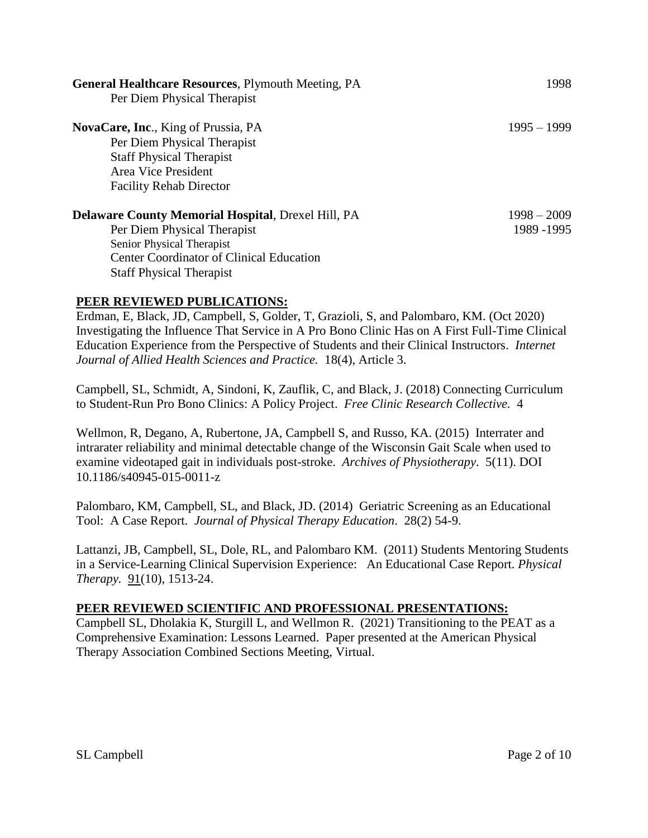| <b>General Healthcare Resources, Plymouth Meeting, PA</b><br>Per Diem Physical Therapist                                                                                                                    | 1998                         |
|-------------------------------------------------------------------------------------------------------------------------------------------------------------------------------------------------------------|------------------------------|
| <b>NovaCare, Inc., King of Prussia, PA</b><br>Per Diem Physical Therapist<br><b>Staff Physical Therapist</b><br>Area Vice President<br><b>Facility Rehab Director</b>                                       | $1995 - 1999$                |
| <b>Delaware County Memorial Hospital, Drexel Hill, PA</b><br>Per Diem Physical Therapist<br>Senior Physical Therapist<br><b>Center Coordinator of Clinical Education</b><br><b>Staff Physical Therapist</b> | $1998 - 2009$<br>1989 - 1995 |

#### **PEER REVIEWED PUBLICATIONS:**

Erdman, E, Black, JD, Campbell, S, Golder, T, Grazioli, S, and Palombaro, KM. (Oct 2020) Investigating the Influence That Service in A Pro Bono Clinic Has on A First Full-Time Clinical Education Experience from the Perspective of Students and their Clinical Instructors. *Internet Journal of Allied Health Sciences and Practice.* 18(4), Article 3.

Campbell, SL, Schmidt, A, Sindoni, K, Zauflik, C, and Black, J. (2018) Connecting Curriculum to Student-Run Pro Bono Clinics: A Policy Project. *Free Clinic Research Collective.* 4

Wellmon, R, Degano, A, Rubertone, JA, Campbell S, and Russo, KA. (2015) Interrater and intrarater reliability and minimal detectable change of the Wisconsin Gait Scale when used to examine videotaped gait in individuals post-stroke. *Archives of Physiotherapy*. 5(11). DOI 10.1186/s40945-015-0011-z

Palombaro, KM, Campbell, SL, and Black, JD. (2014) Geriatric Screening as an Educational Tool: A Case Report. *Journal of Physical Therapy Education*. 28(2) 54-9.

Lattanzi, JB, Campbell, SL, Dole, RL, and Palombaro KM. (2011) Students Mentoring Students in a Service-Learning Clinical Supervision Experience: An Educational Case Report. *Physical Therapy.* 91(10), 1513-24.

#### **PEER REVIEWED SCIENTIFIC AND PROFESSIONAL PRESENTATIONS:**

Campbell SL, Dholakia K, Sturgill L, and Wellmon R. (2021) Transitioning to the PEAT as a Comprehensive Examination: Lessons Learned. Paper presented at the American Physical Therapy Association Combined Sections Meeting, Virtual.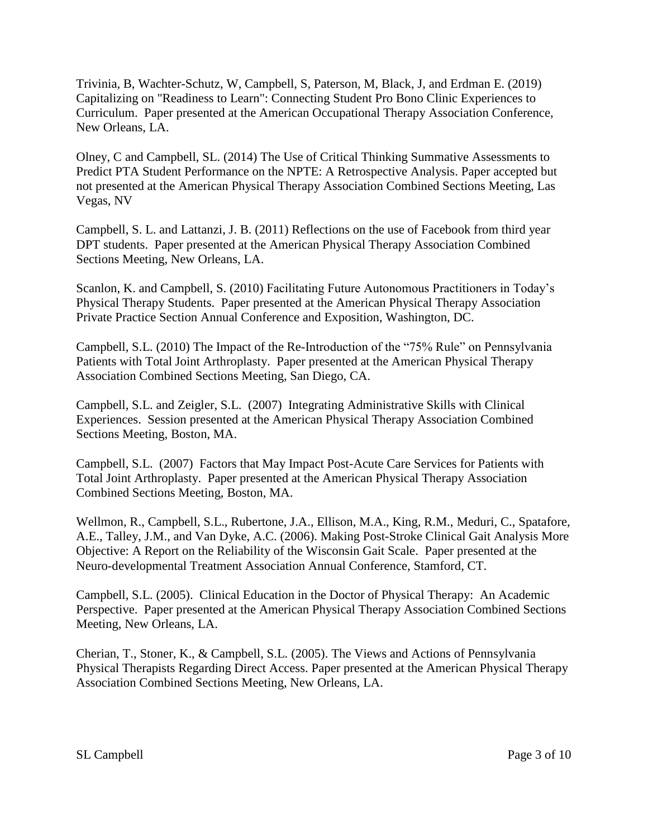Trivinia, B, Wachter-Schutz, W, Campbell, S, Paterson, M, Black, J, and Erdman E. (2019) Capitalizing on "Readiness to Learn": Connecting Student Pro Bono Clinic Experiences to Curriculum. Paper presented at the American Occupational Therapy Association Conference, New Orleans, LA.

Olney, C and Campbell, SL. (2014) The Use of Critical Thinking Summative Assessments to Predict PTA Student Performance on the NPTE: A Retrospective Analysis. Paper accepted but not presented at the American Physical Therapy Association Combined Sections Meeting, Las Vegas, NV

Campbell, S. L. and Lattanzi, J. B. (2011) Reflections on the use of Facebook from third year DPT students. Paper presented at the American Physical Therapy Association Combined Sections Meeting, New Orleans, LA.

Scanlon, K. and Campbell, S. (2010) Facilitating Future Autonomous Practitioners in Today's Physical Therapy Students. Paper presented at the American Physical Therapy Association Private Practice Section Annual Conference and Exposition, Washington, DC.

Campbell, S.L. (2010) The Impact of the Re-Introduction of the "75% Rule" on Pennsylvania Patients with Total Joint Arthroplasty. Paper presented at the American Physical Therapy Association Combined Sections Meeting, San Diego, CA.

Campbell, S.L. and Zeigler, S.L. (2007) Integrating Administrative Skills with Clinical Experiences. Session presented at the American Physical Therapy Association Combined Sections Meeting, Boston, MA.

Campbell, S.L. (2007) Factors that May Impact Post-Acute Care Services for Patients with Total Joint Arthroplasty. Paper presented at the American Physical Therapy Association Combined Sections Meeting, Boston, MA.

Wellmon, R., Campbell, S.L., Rubertone, J.A., Ellison, M.A., King, R.M., Meduri, C., Spatafore, A.E., Talley, J.M., and Van Dyke, A.C. (2006). Making Post-Stroke Clinical Gait Analysis More Objective: A Report on the Reliability of the Wisconsin Gait Scale. Paper presented at the Neuro-developmental Treatment Association Annual Conference, Stamford, CT.

Campbell, S.L. (2005). Clinical Education in the Doctor of Physical Therapy: An Academic Perspective. Paper presented at the American Physical Therapy Association Combined Sections Meeting, New Orleans, LA.

Cherian, T., Stoner, K., & Campbell, S.L. (2005). The Views and Actions of Pennsylvania Physical Therapists Regarding Direct Access. Paper presented at the American Physical Therapy Association Combined Sections Meeting, New Orleans, LA.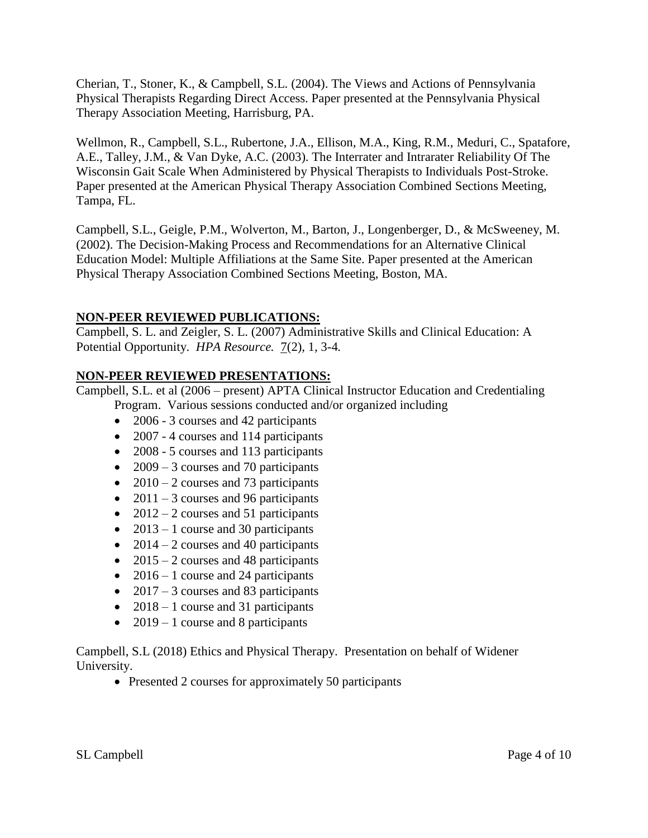Cherian, T., Stoner, K., & Campbell, S.L. (2004). The Views and Actions of Pennsylvania Physical Therapists Regarding Direct Access. Paper presented at the Pennsylvania Physical Therapy Association Meeting, Harrisburg, PA.

Wellmon, R., Campbell, S.L., Rubertone, J.A., Ellison, M.A., King, R.M., Meduri, C., Spatafore, A.E., Talley, J.M., & Van Dyke, A.C. (2003). The Interrater and Intrarater Reliability Of The Wisconsin Gait Scale When Administered by Physical Therapists to Individuals Post-Stroke. Paper presented at the American Physical Therapy Association Combined Sections Meeting, Tampa, FL.

Campbell, S.L., Geigle, P.M., Wolverton, M., Barton, J., Longenberger, D., & McSweeney, M. (2002). The Decision-Making Process and Recommendations for an Alternative Clinical Education Model: Multiple Affiliations at the Same Site. Paper presented at the American Physical Therapy Association Combined Sections Meeting, Boston, MA.

#### **NON-PEER REVIEWED PUBLICATIONS:**

Campbell, S. L. and Zeigler, S. L. (2007) Administrative Skills and Clinical Education: A Potential Opportunity. *HPA Resource.* 7(2), 1, 3-4*.*

#### **NON-PEER REVIEWED PRESENTATIONS:**

Campbell, S.L. et al (2006 – present) APTA Clinical Instructor Education and Credentialing

Program. Various sessions conducted and/or organized including

- 2006 3 courses and 42 participants
- 2007 4 courses and 114 participants
- 2008 5 courses and 113 participants
- 2009 3 courses and 70 participants
- 2010 2 courses and 73 participants
- 2011 3 courses and 96 participants
- 2012 2 courses and 51 participants
- 2013 1 course and 30 participants
- 2014 2 courses and 40 participants
- 2015 2 courses and 48 participants
- 2016 1 course and 24 participants
- 2017 3 courses and 83 participants
- 2018 1 course and 31 participants
- 2019 1 course and 8 participants

Campbell, S.L (2018) Ethics and Physical Therapy. Presentation on behalf of Widener University.

• Presented 2 courses for approximately 50 participants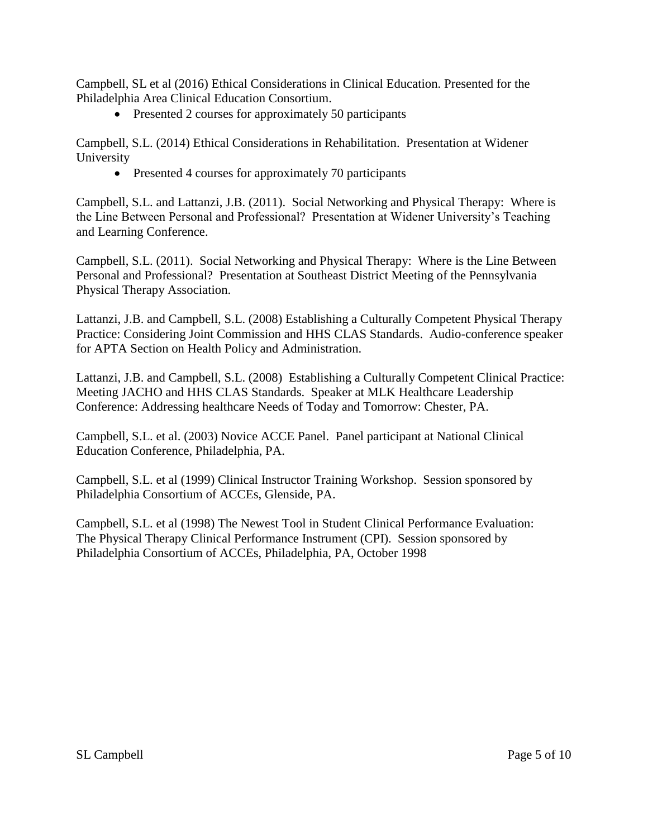Campbell, SL et al (2016) Ethical Considerations in Clinical Education. Presented for the Philadelphia Area Clinical Education Consortium.

• Presented 2 courses for approximately 50 participants

Campbell, S.L. (2014) Ethical Considerations in Rehabilitation. Presentation at Widener University

• Presented 4 courses for approximately 70 participants

Campbell, S.L. and Lattanzi, J.B. (2011). Social Networking and Physical Therapy: Where is the Line Between Personal and Professional? Presentation at Widener University's Teaching and Learning Conference.

Campbell, S.L. (2011). Social Networking and Physical Therapy: Where is the Line Between Personal and Professional? Presentation at Southeast District Meeting of the Pennsylvania Physical Therapy Association.

Lattanzi, J.B. and Campbell, S.L. (2008) Establishing a Culturally Competent Physical Therapy Practice: Considering Joint Commission and HHS CLAS Standards. Audio-conference speaker for APTA Section on Health Policy and Administration.

Lattanzi, J.B. and Campbell, S.L. (2008) Establishing a Culturally Competent Clinical Practice: Meeting JACHO and HHS CLAS Standards. Speaker at MLK Healthcare Leadership Conference: Addressing healthcare Needs of Today and Tomorrow: Chester, PA.

Campbell, S.L. et al. (2003) Novice ACCE Panel. Panel participant at National Clinical Education Conference, Philadelphia, PA.

Campbell, S.L. et al (1999) Clinical Instructor Training Workshop. Session sponsored by Philadelphia Consortium of ACCEs, Glenside, PA.

Campbell, S.L. et al (1998) The Newest Tool in Student Clinical Performance Evaluation: The Physical Therapy Clinical Performance Instrument (CPI). Session sponsored by Philadelphia Consortium of ACCEs, Philadelphia, PA, October 1998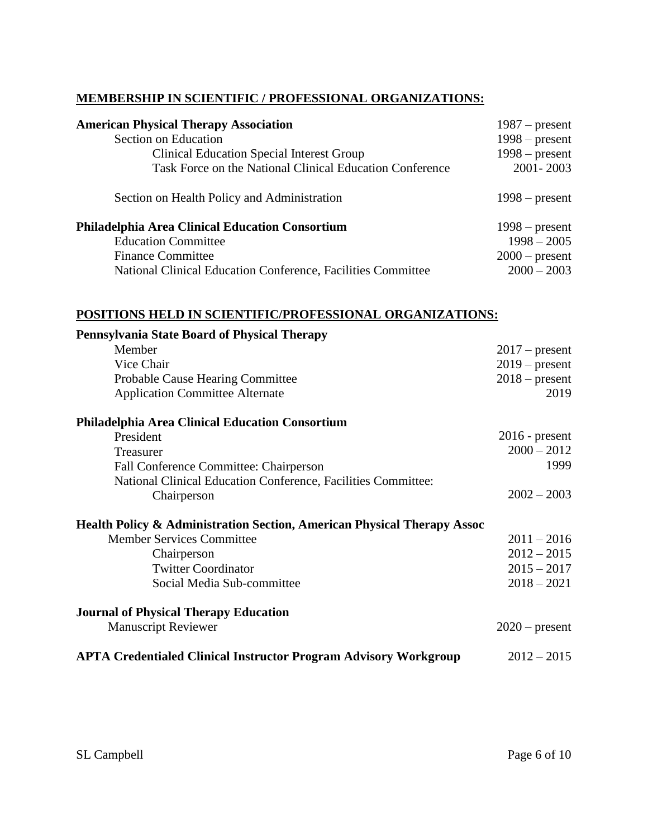### **MEMBERSHIP IN SCIENTIFIC / PROFESSIONAL ORGANIZATIONS:**

| <b>American Physical Therapy Association</b>                 | $1987$ – present |
|--------------------------------------------------------------|------------------|
| Section on Education                                         | $1998$ – present |
| Clinical Education Special Interest Group                    | $1998$ – present |
| Task Force on the National Clinical Education Conference     | 2001-2003        |
| Section on Health Policy and Administration                  | $1998$ – present |
| <b>Philadelphia Area Clinical Education Consortium</b>       | $1998$ – present |
| <b>Education Committee</b>                                   | $1998 - 2005$    |
| <b>Finance Committee</b>                                     | $2000$ – present |
| National Clinical Education Conference, Facilities Committee | $2000 - 2003$    |

#### **POSITIONS HELD IN SCIENTIFIC/PROFESSIONAL ORGANIZATIONS:**

| <b>Pennsylvania State Board of Physical Therapy</b>                                |                  |
|------------------------------------------------------------------------------------|------------------|
| Member                                                                             | $2017$ – present |
| Vice Chair                                                                         | $2019$ – present |
| <b>Probable Cause Hearing Committee</b>                                            | $2018$ – present |
| <b>Application Committee Alternate</b>                                             | 2019             |
| <b>Philadelphia Area Clinical Education Consortium</b>                             |                  |
| President                                                                          | $2016$ - present |
| Treasurer                                                                          | $2000 - 2012$    |
| Fall Conference Committee: Chairperson                                             | 1999             |
| National Clinical Education Conference, Facilities Committee:                      |                  |
| Chairperson                                                                        | $2002 - 2003$    |
| <b>Health Policy &amp; Administration Section, American Physical Therapy Assoc</b> |                  |
| <b>Member Services Committee</b>                                                   | $2011 - 2016$    |
| Chairperson                                                                        | $2012 - 2015$    |
| <b>Twitter Coordinator</b>                                                         | $2015 - 2017$    |
| Social Media Sub-committee                                                         | $2018 - 2021$    |
| <b>Journal of Physical Therapy Education</b>                                       |                  |
| <b>Manuscript Reviewer</b>                                                         | $2020$ – present |
| <b>APTA Credentialed Clinical Instructor Program Advisory Workgroup</b>            | $2012 - 2015$    |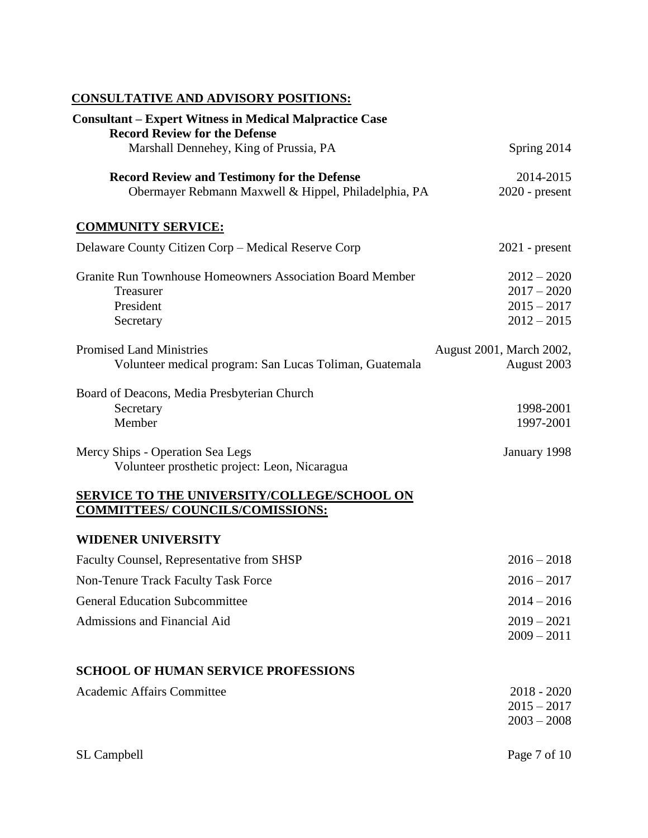### **CONSULTATIVE AND ADVISORY POSITIONS:**

| <b>Consultant – Expert Witness in Medical Malpractice Case</b><br><b>Record Review for the Defense</b>     |                                                                  |
|------------------------------------------------------------------------------------------------------------|------------------------------------------------------------------|
| Marshall Dennehey, King of Prussia, PA                                                                     | Spring 2014                                                      |
| <b>Record Review and Testimony for the Defense</b><br>Obermayer Rebmann Maxwell & Hippel, Philadelphia, PA | 2014-2015<br>$2020$ - present                                    |
| <b>COMMUNITY SERVICE:</b>                                                                                  |                                                                  |
| Delaware County Citizen Corp – Medical Reserve Corp                                                        | $2021$ - present                                                 |
| Granite Run Townhouse Homeowners Association Board Member<br>Treasurer<br>President<br>Secretary           | $2012 - 2020$<br>$2017 - 2020$<br>$2015 - 2017$<br>$2012 - 2015$ |
| <b>Promised Land Ministries</b><br>Volunteer medical program: San Lucas Toliman, Guatemala                 | August 2001, March 2002,<br>August 2003                          |
| Board of Deacons, Media Presbyterian Church<br>Secretary<br>Member                                         | 1998-2001<br>1997-2001                                           |
| Mercy Ships - Operation Sea Legs<br>Volunteer prosthetic project: Leon, Nicaragua                          | January 1998                                                     |
| <b>SERVICE TO THE UNIVERSITY/COLLEGE/SCHOOL ON</b><br><b>COMMITTEES/ COUNCILS/COMISSIONS:</b>              |                                                                  |
| <b>WIDENER UNIVERSITY</b>                                                                                  |                                                                  |
| Faculty Counsel, Representative from SHSP                                                                  | $2016 - 2018$                                                    |
| Non-Tenure Track Faculty Task Force                                                                        | $2016 - 2017$                                                    |
| <b>General Education Subcommittee</b>                                                                      | $2014 - 2016$                                                    |
| Admissions and Financial Aid                                                                               | $2019 - 2021$<br>$2009 - 2011$                                   |
| <b>SCHOOL OF HUMAN SERVICE PROFESSIONS</b>                                                                 |                                                                  |
| <b>Academic Affairs Committee</b>                                                                          | $2018 - 2020$<br>$2015 - 2017$<br>$2003 - 2008$                  |
| SL Campbell                                                                                                | Page 7 of 10                                                     |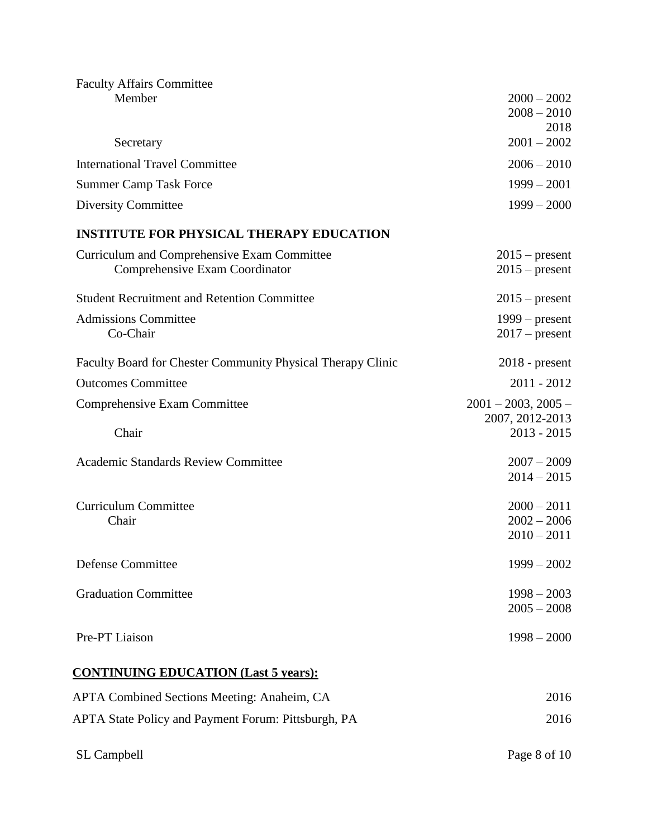| <b>Faculty Affairs Committee</b>                            |                                |
|-------------------------------------------------------------|--------------------------------|
| Member                                                      | $2000 - 2002$                  |
|                                                             | $2008 - 2010$                  |
| Secretary                                                   | 2018<br>$2001 - 2002$          |
| <b>International Travel Committee</b>                       | $2006 - 2010$                  |
| <b>Summer Camp Task Force</b>                               | $1999 - 2001$                  |
| <b>Diversity Committee</b>                                  | $1999 - 2000$                  |
| <b>INSTITUTE FOR PHYSICAL THERAPY EDUCATION</b>             |                                |
| Curriculum and Comprehensive Exam Committee                 | $2015$ – present               |
| Comprehensive Exam Coordinator                              | $2015$ – present               |
| <b>Student Recruitment and Retention Committee</b>          | $2015$ – present               |
| <b>Admissions Committee</b>                                 | $1999 - present$               |
| Co-Chair                                                    | $2017$ – present               |
| Faculty Board for Chester Community Physical Therapy Clinic | $2018$ - present               |
| <b>Outcomes Committee</b>                                   | $2011 - 2012$                  |
| Comprehensive Exam Committee                                | $2001 - 2003$ , $2005 -$       |
|                                                             | 2007, 2012-2013                |
| Chair                                                       | $2013 - 2015$                  |
| <b>Academic Standards Review Committee</b>                  | $2007 - 2009$                  |
|                                                             | $2014 - 2015$                  |
| <b>Curriculum Committee</b>                                 |                                |
| Chair                                                       | $2000 - 2011$<br>$2002 - 2006$ |
|                                                             | $2010 - 2011$                  |
|                                                             |                                |
| <b>Defense Committee</b>                                    | $1999 - 2002$                  |
| <b>Graduation Committee</b>                                 | $1998 - 2003$                  |
|                                                             | $2005 - 2008$                  |
| Pre-PT Liaison                                              | $1998 - 2000$                  |
|                                                             |                                |
| <b>CONTINUING EDUCATION (Last 5 years):</b>                 |                                |
| APTA Combined Sections Meeting: Anaheim, CA                 | 2016                           |
| APTA State Policy and Payment Forum: Pittsburgh, PA         | 2016                           |
|                                                             |                                |

SL Campbell Page 8 of 10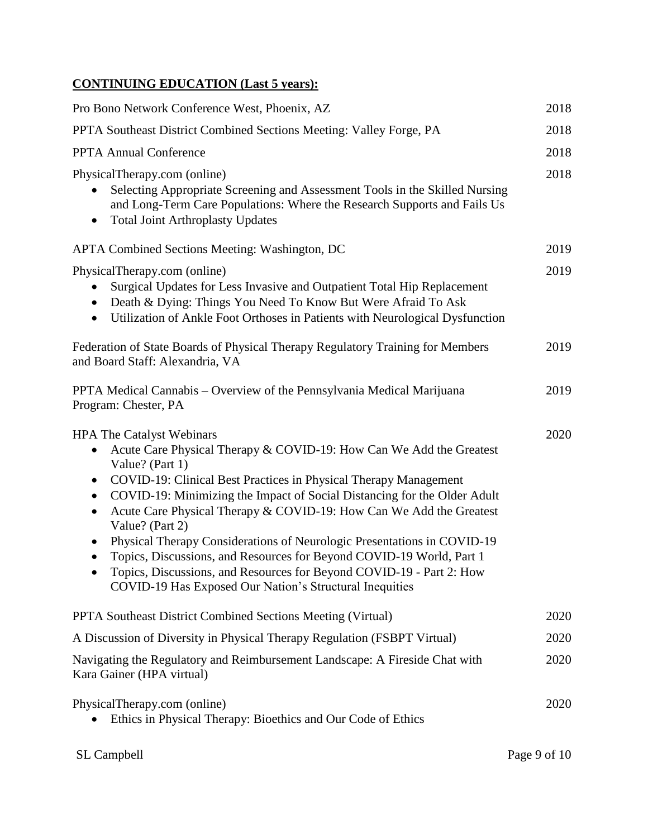## **CONTINUING EDUCATION (Last 5 years):**

| Pro Bono Network Conference West, Phoenix, AZ                                                                                                                                                                                                                                                                                                                                                                                                                                                                                                                                                                                                                                                                               | 2018 |
|-----------------------------------------------------------------------------------------------------------------------------------------------------------------------------------------------------------------------------------------------------------------------------------------------------------------------------------------------------------------------------------------------------------------------------------------------------------------------------------------------------------------------------------------------------------------------------------------------------------------------------------------------------------------------------------------------------------------------------|------|
| PPTA Southeast District Combined Sections Meeting: Valley Forge, PA                                                                                                                                                                                                                                                                                                                                                                                                                                                                                                                                                                                                                                                         | 2018 |
| <b>PPTA Annual Conference</b>                                                                                                                                                                                                                                                                                                                                                                                                                                                                                                                                                                                                                                                                                               | 2018 |
| PhysicalTherapy.com (online)<br>Selecting Appropriate Screening and Assessment Tools in the Skilled Nursing<br>and Long-Term Care Populations: Where the Research Supports and Fails Us<br><b>Total Joint Arthroplasty Updates</b><br>$\bullet$                                                                                                                                                                                                                                                                                                                                                                                                                                                                             | 2018 |
| <b>APTA Combined Sections Meeting: Washington, DC</b>                                                                                                                                                                                                                                                                                                                                                                                                                                                                                                                                                                                                                                                                       | 2019 |
| PhysicalTherapy.com (online)<br>Surgical Updates for Less Invasive and Outpatient Total Hip Replacement<br>Death & Dying: Things You Need To Know But Were Afraid To Ask<br>$\bullet$<br>Utilization of Ankle Foot Orthoses in Patients with Neurological Dysfunction<br>$\bullet$                                                                                                                                                                                                                                                                                                                                                                                                                                          | 2019 |
| Federation of State Boards of Physical Therapy Regulatory Training for Members<br>and Board Staff: Alexandria, VA                                                                                                                                                                                                                                                                                                                                                                                                                                                                                                                                                                                                           | 2019 |
| PPTA Medical Cannabis – Overview of the Pennsylvania Medical Marijuana<br>Program: Chester, PA                                                                                                                                                                                                                                                                                                                                                                                                                                                                                                                                                                                                                              | 2019 |
| <b>HPA The Catalyst Webinars</b><br>Acute Care Physical Therapy & COVID-19: How Can We Add the Greatest<br>$\bullet$<br>Value? (Part 1)<br>COVID-19: Clinical Best Practices in Physical Therapy Management<br>$\bullet$<br>COVID-19: Minimizing the Impact of Social Distancing for the Older Adult<br>$\bullet$<br>Acute Care Physical Therapy & COVID-19: How Can We Add the Greatest<br>$\bullet$<br>Value? (Part 2)<br>Physical Therapy Considerations of Neurologic Presentations in COVID-19<br>$\bullet$<br>Topics, Discussions, and Resources for Beyond COVID-19 World, Part 1<br>Topics, Discussions, and Resources for Beyond COVID-19 - Part 2: How<br>COVID-19 Has Exposed Our Nation's Structural Inequities | 2020 |
| <b>PPTA Southeast District Combined Sections Meeting (Virtual)</b>                                                                                                                                                                                                                                                                                                                                                                                                                                                                                                                                                                                                                                                          | 2020 |
| A Discussion of Diversity in Physical Therapy Regulation (FSBPT Virtual)                                                                                                                                                                                                                                                                                                                                                                                                                                                                                                                                                                                                                                                    | 2020 |
| Navigating the Regulatory and Reimbursement Landscape: A Fireside Chat with<br>Kara Gainer (HPA virtual)                                                                                                                                                                                                                                                                                                                                                                                                                                                                                                                                                                                                                    | 2020 |
| PhysicalTherapy.com (online)<br>Ethics in Physical Therapy: Bioethics and Our Code of Ethics                                                                                                                                                                                                                                                                                                                                                                                                                                                                                                                                                                                                                                | 2020 |